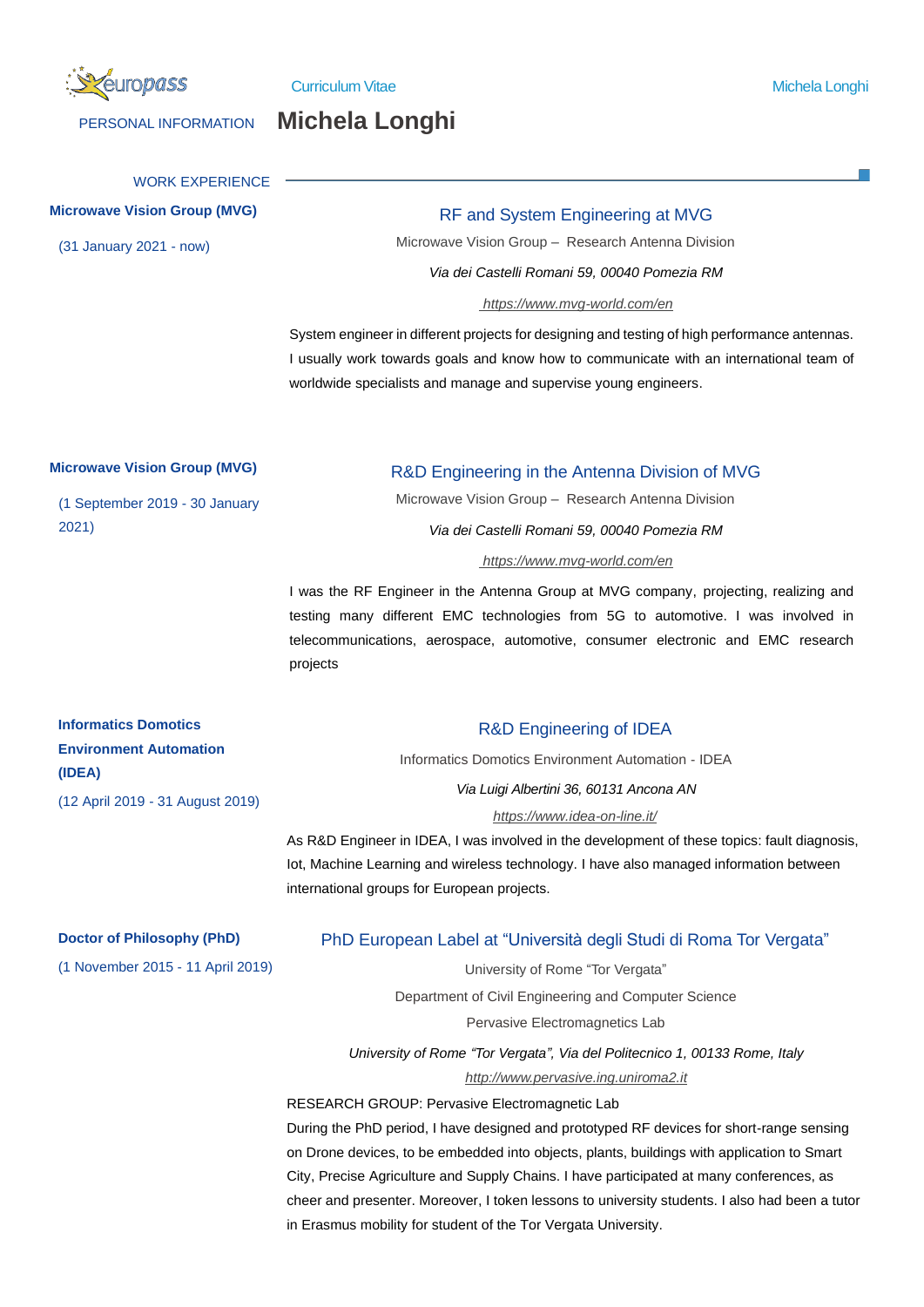

# PERSONAL INFORMATION **Michela Longhi**

# WORK EXPERIENCE **Microwave Vision Group (MVG)** RF and System Engineering at MVG (31 January 2021 - now) Microwave Vision Group – Research Antenna Division *Via dei Castelli Romani 59, 00040 Pomezia RM https://www.mvg-world.com/en* System engineer in different projects for designing and testing of high performance antennas. I usually work towards goals and know how to communicate with an international team of worldwide specialists and manage and supervise young engineers. **Microwave Vision Group (MVG)** R&D Engineering in the Antenna Division of MVG (1 September 2019 - 30 January 2021) Microwave Vision Group – Research Antenna Division *Via dei Castelli Romani 59, 00040 Pomezia RM https://www.mvg-world.com/en* I was the RF Engineer in the Antenna Group at MVG company, projecting, realizing and testing many different EMC technologies from 5G to automotive. I was involved in telecommunications, aerospace, automotive, consumer electronic and EMC research projects **Informatics Domotics Environment Automation (IDEA)** (12 April 2019 - 31 August 2019) R&D Engineering of IDEA Informatics Domotics Environment Automation - IDEA *Via Luigi Albertini 36, 60131 Ancona AN https://www.idea-on-line.it/* As R&D Engineer in IDEA, I was involved in the development of these topics: fault diagnosis, Iot, Machine Learning and wireless technology. I have also managed information between international groups for European projects. **Doctor of Philosophy (PhD)** PhD European Label at "Università degli Studi di Roma Tor Vergata" (1 November 2015 - 11 April 2019) University of Rome "Tor Vergata" Department of Civil Engineering and Computer Science Pervasive Electromagnetics Lab *University of Rome "Tor Vergata", Via del Politecnico 1, 00133 Rome, Italy http://www.pervasive.ing.uniroma2.it* RESEARCH GROUP: Pervasive Electromagnetic Lab During the PhD period, I have designed and prototyped RF devices for short-range sensing on Drone devices, to be embedded into objects, plants, buildings with application to Smart City, Precise Agriculture and Supply Chains. I have participated at many conferences, as cheer and presenter. Moreover, I token lessons to university students. I also had been a tutor in Erasmus mobility for student of the Tor Vergata University.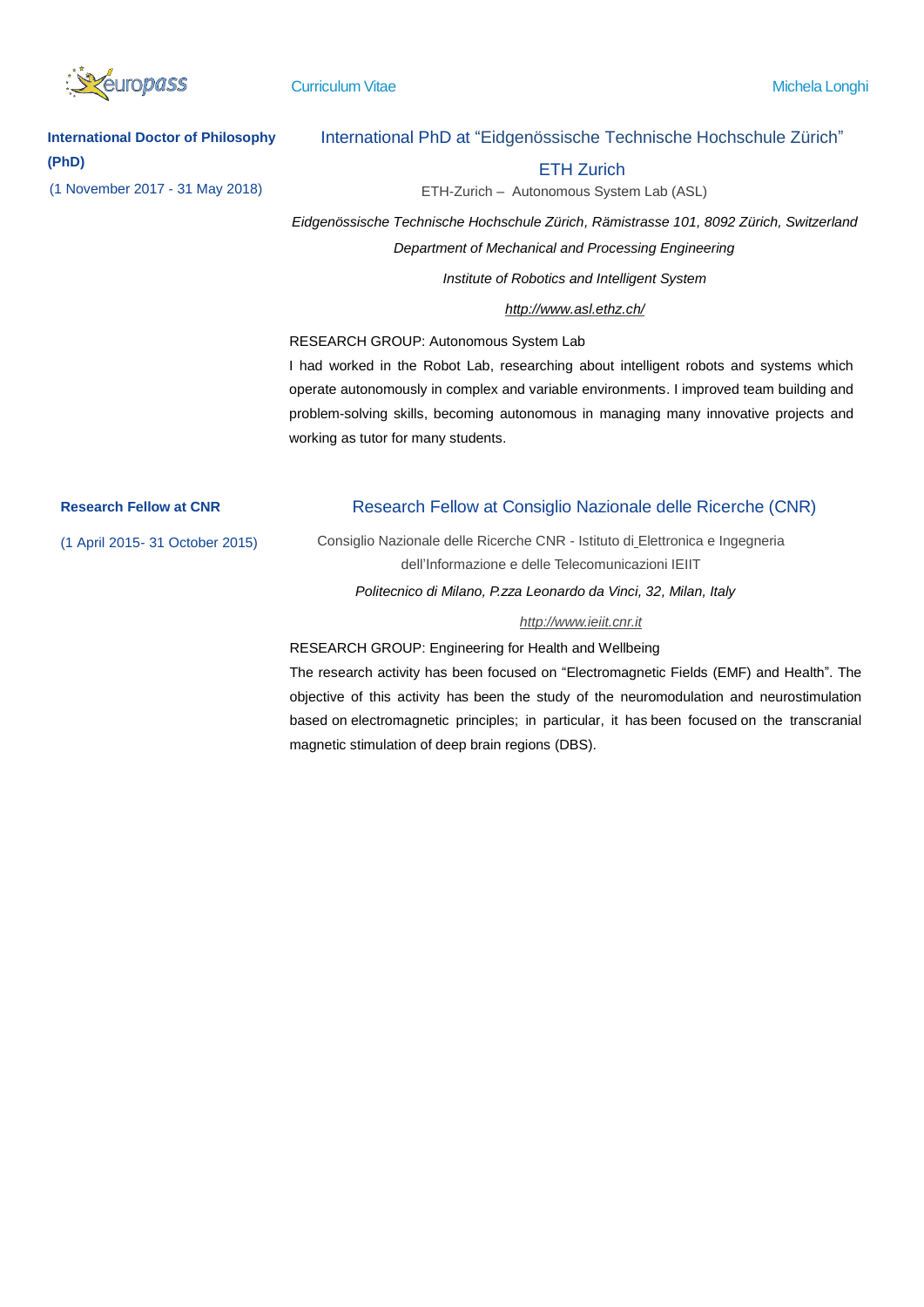

**International Doctor of Philosophy (PhD)**

# International PhD at "Eidgenössische Technische Hochschule Zürich"

### ETH Zurich

(1 November 2017 - 31 May 2018) ETH-Zurich – Autonomous System Lab (ASL)

*Eidgenössische Technische Hochschule Zürich, Rämistrasse 101, 8092 Zürich, Switzerland Department of Mechanical and Processing Engineering*

*Institute of Robotics and Intelligent System*

### *http://www.asl.ethz.ch/*

RESEARCH GROUP: Autonomous System Lab

I had worked in the Robot Lab, researching about intelligent robots and systems which operate autonomously in complex and variable environments. I improved team building and problem-solving skills, becoming autonomous in managing many innovative projects and working as tutor for many students.

# **Research Fellow at CNR** Research Fellow at Consiglio Nazionale delle Ricerche (CNR)

(1 April 2015- 31 October 2015) Consiglio Nazionale delle Ricerche CNR - Istituto di Elettronica e Ingegneria dell'Informazione e delle Telecomunicazioni IEIIT *Politecnico di Milano, P.zza Leonardo da Vinci, 32, Milan, Italy*

### *http://www.ieiit.cnr.it*

### RESEARCH GROUP: Engineering for Health and Wellbeing

The research activity has been focused on "Electromagnetic Fields (EMF) and Health". The objective of this activity has been the study of the neuromodulation and neurostimulation based on electromagnetic principles; in particular, it has been focused on the transcranial magnetic stimulation of deep brain regions (DBS).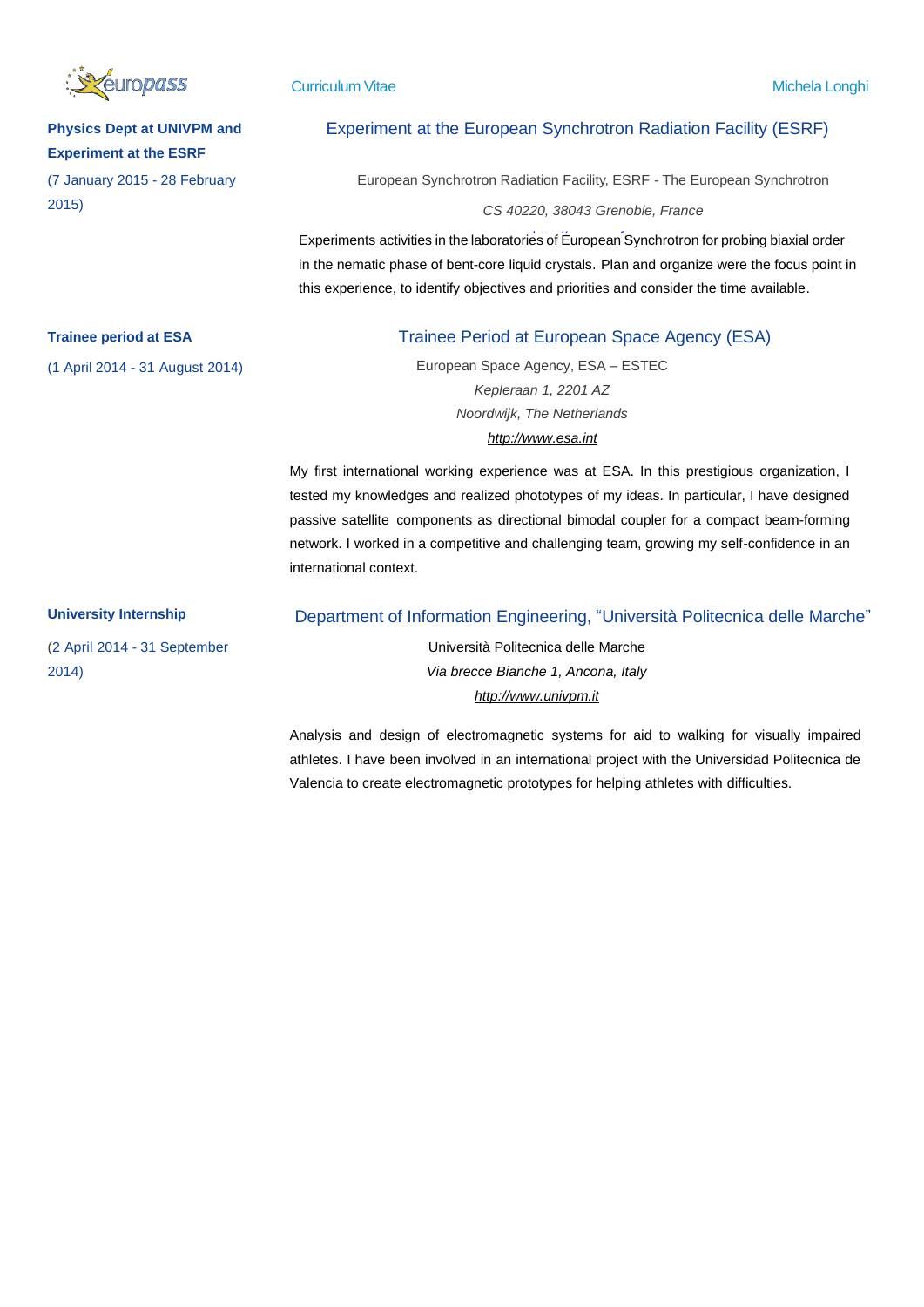

# **Physics Dept at UNIVPM and Experiment at the ESRF**

(7 January 2015 - 28 February 2015)

# Experiment at the European Synchrotron Radiation Facility (ESRF)

European Synchrotron Radiation Facility, ESRF - The European Synchrotron

*CS 40220, 38043 Grenoble, France*

Experiments activities in the laboratories of European Synchrotron for probing biaxial order in the nematic phase of bent-core liquid crystals. Plan and organize were the focus point in this experience, to identify objectives and priorities and consider the time available.

# **Trainee period at ESA** Trainee Period at European Space Agency (ESA)

(1 April 2014 - 31 August 2014) European Space Agency, ESA – ESTEC *Kepleraan 1, 2201 AZ Noordwijk, The Netherlands [http://www.esa.int](http://www.esa.int/)*

> My first international working experience was at ESA. In this prestigious organization, I tested my knowledges and realized phototypes of my ideas. In particular, I have designed passive satellite components as directional bimodal coupler for a compact beam-forming network. I worked in a competitive and challenging team, growing my self-confidence in an international context.

(2 April 2014 - 31 September 2014)

## **University Internship** Department of Information Engineering, "Università Politecnica delle Marche"

Università Politecnica delle Marche *Via brecce Bianche 1, Ancona, Italy [http://www.univpm.it](http://www.univpm.it/)*

Analysis and design of electromagnetic systems for aid to walking for visually impaired athletes. I have been involved in an international project with the Universidad Politecnica de Valencia to create electromagnetic prototypes for helping athletes with difficulties.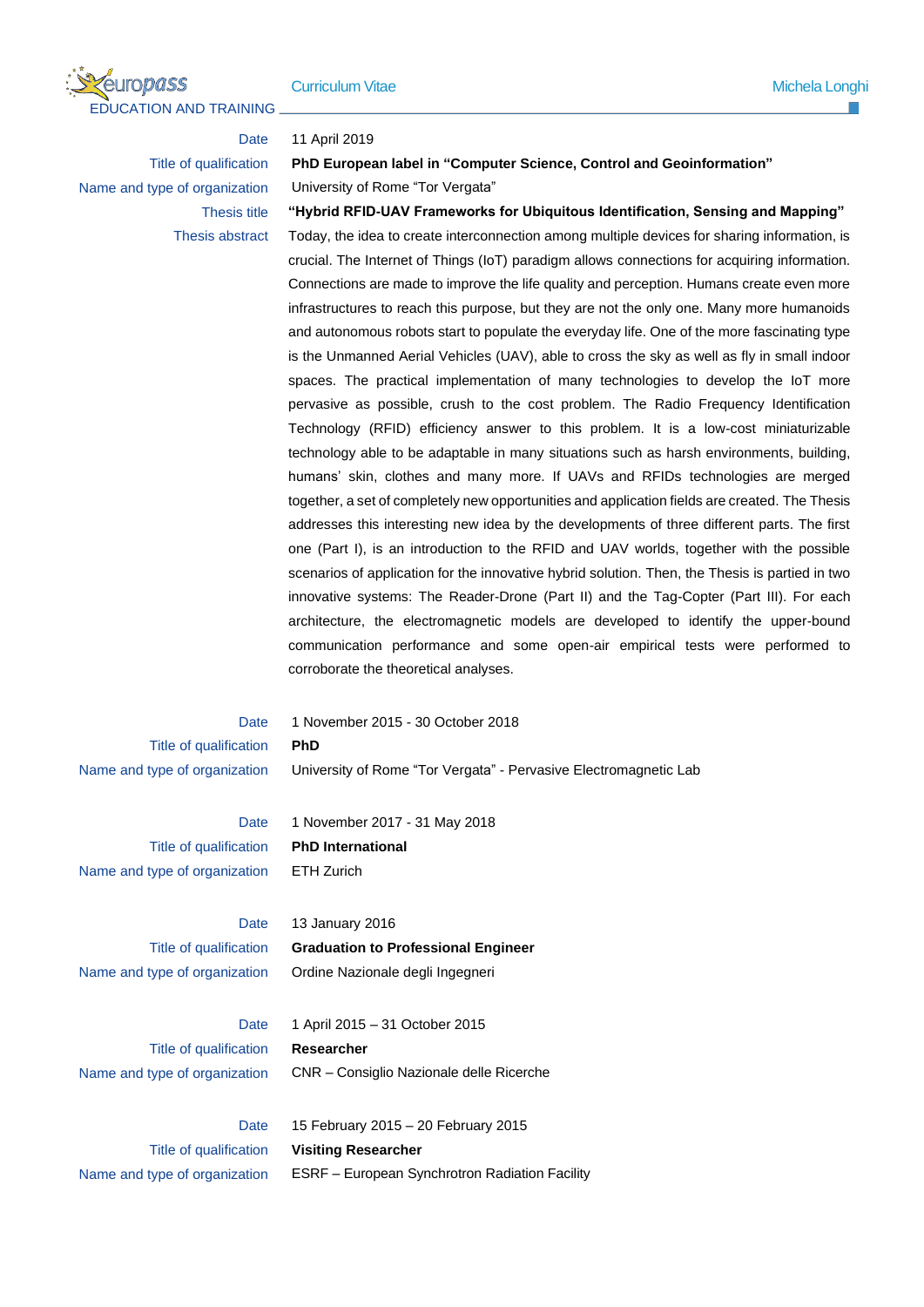

### Date 11 April 2019

# Title of qualification **PhD European label in "Computer Science, Control and Geoinformation"** Name and type of organization University of Rome "Tor Vergata"

Thesis title **"Hybrid RFID-UAV Frameworks for Ubiquitous Identification, Sensing and Mapping"** Thesis abstract Today, the idea to create interconnection among multiple devices for sharing information, is crucial. The Internet of Things (IoT) paradigm allows connections for acquiring information. Connections are made to improve the life quality and perception. Humans create even more infrastructures to reach this purpose, but they are not the only one. Many more humanoids and autonomous robots start to populate the everyday life. One of the more fascinating type is the Unmanned Aerial Vehicles (UAV), able to cross the sky as well as fly in small indoor spaces. The practical implementation of many technologies to develop the IoT more pervasive as possible, crush to the cost problem. The Radio Frequency Identification Technology (RFID) efficiency answer to this problem. It is a low-cost miniaturizable technology able to be adaptable in many situations such as harsh environments, building, humans' skin, clothes and many more. If UAVs and RFIDs technologies are merged together, a set of completely new opportunities and application fields are created. The Thesis addresses this interesting new idea by the developments of three different parts. The first one (Part I), is an introduction to the RFID and UAV worlds, together with the possible scenarios of application for the innovative hybrid solution. Then, the Thesis is partied in two innovative systems: The Reader-Drone (Part II) and the Tag-Copter (Part III). For each architecture, the electromagnetic models are developed to identify the upper-bound communication performance and some open-air empirical tests were performed to corroborate the theoretical analyses.

Title of qualification **PhD**

Date 1 November 2015 - 30 October 2018 Name and type of organization University of Rome "Tor Vergata" - Pervasive Electromagnetic Lab

Title of qualification **PhD International** Name and type of organization ETH Zurich

Date 1 November 2017 - 31 May 2018

Date 13 January 2016 Title of qualification **Graduation to Professional Engineer** Name and type of organization Ordine Nazionale degli Ingegneri

Title of qualification **Researcher**

Date 1 April 2015 – 31 October 2015 Name and type of organization CNR – Consiglio Nazionale delle Ricerche

Date 15 February 2015 – 20 February 2015 Title of qualification **Visiting Researcher** Name and type of organization ESRF - European Synchrotron Radiation Facility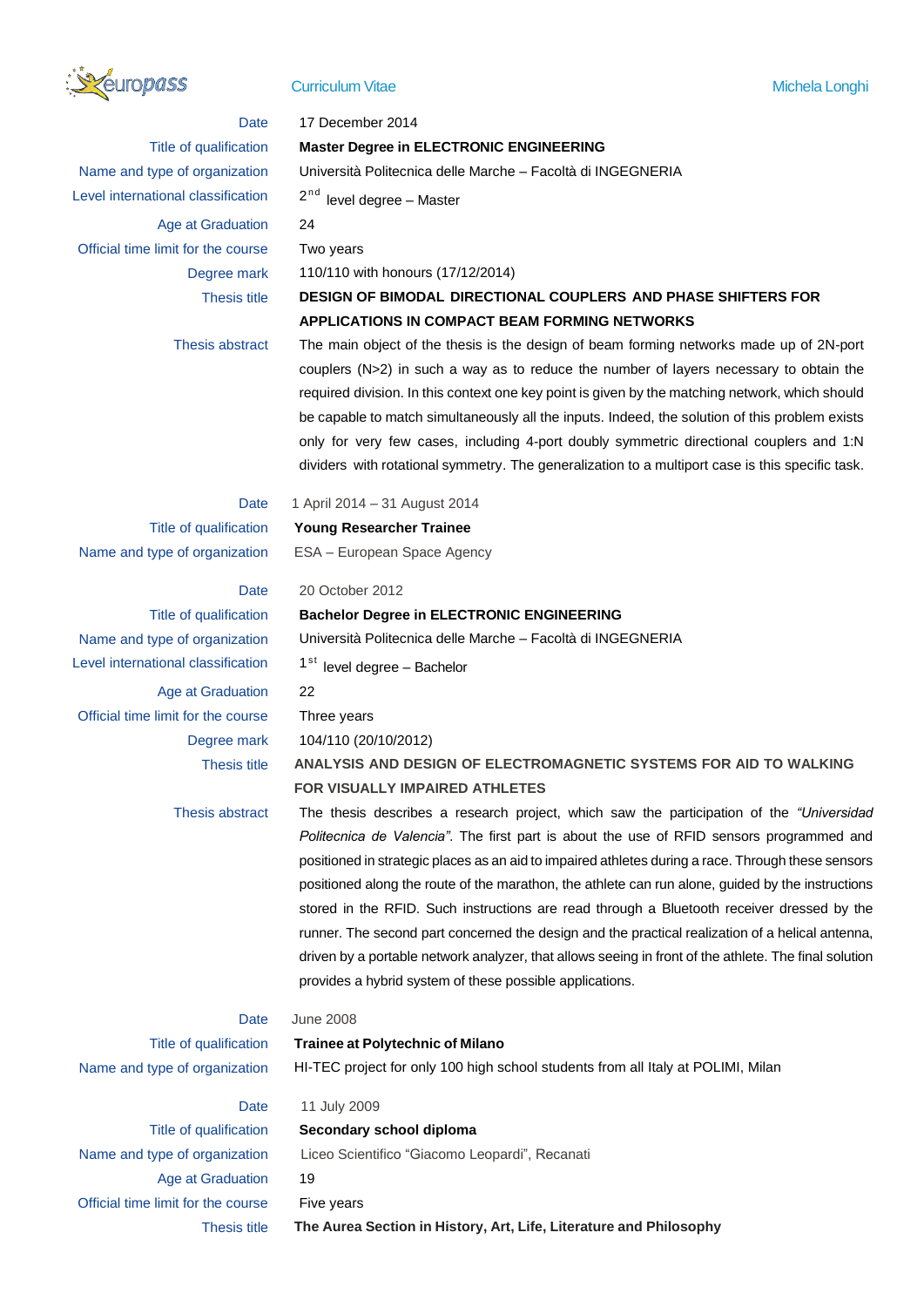

# Date 17 December 2014 Title of qualification **Master Degree in ELECTRONIC ENGINEERING** Name and type of organization Università Politecnica delle Marche – Facoltà di INGEGNERIA Level international classification  $2<sup>nd</sup>$  level degree – Master Age at Graduation 24 Official time limit for the course Two years Degree mark 110/110 with honours (17/12/2014) Thesis title **DESIGN OF BIMODAL DIRECTIONAL COUPLERS AND PHASE SHIFTERS FOR APPLICATIONS IN COMPACT BEAM FORMING NETWORKS** Thesis abstract The main object of the thesis is the design of beam forming networks made up of 2N-port couplers (N>2) in such a way as to reduce the number of layers necessary to obtain the required division. In this context one key point is given by the matching network, which should be capable to match simultaneously all the inputs. Indeed, the solution of this problem exists only for very few cases, including 4-port doubly symmetric directional couplers and 1:N dividers with rotational symmetry. The generalization to a multiport case is this specific task. Date 1 April 2014 – 31 August 2014 Title of qualification **Young Researcher Trainee** Name and type of organization ESA – European Space Agency Date 20 October 2012 Title of qualification **Bachelor Degree in ELECTRONIC ENGINEERING** Name and type of organization Università Politecnica delle Marche – Facoltà di INGEGNERIA Level international classification  $1<sup>st</sup>$  level degree – Bachelor Age at Graduation 22 Official time limit for the course Three years Degree mark 104/110 (20/10/2012) Thesis title **ANALYSIS AND DESIGN OF ELECTROMAGNETIC SYSTEMS FOR AID TO WALKING FOR VISUALLY IMPAIRED ATHLETES** Thesis abstract The thesis describes a research project, which saw the participation of the *"Universidad Politecnica de Valencia"*. The first part is about the use of RFID sensors programmed and positioned in strategic places as an aid to impaired athletes during a race. Through these sensors positioned along the route of the marathon, the athlete can run alone, guided by the instructions stored in the RFID. Such instructions are read through a Bluetooth receiver dressed by the runner. The second part concerned the design and the practical realization of a helical antenna, driven by a portable network analyzer, that allows seeing in front of the athlete. The final solution provides a hybrid system of these possible applications. Date June 2008 Title of qualification **Trainee at Polytechnic of Milano** Name and type of organization HI-TEC project for only 100 high school students from all Italy at POLIMI, Milan Date 11 July 2009 Title of qualification **Secondary school diploma** Name and type of organization Liceo Scientifico "Giacomo Leopardi", Recanati Age at Graduation 19

Official time limit for the course Five years Thesis title **The Aurea Section in History, Art, Life, Literature and Philosophy**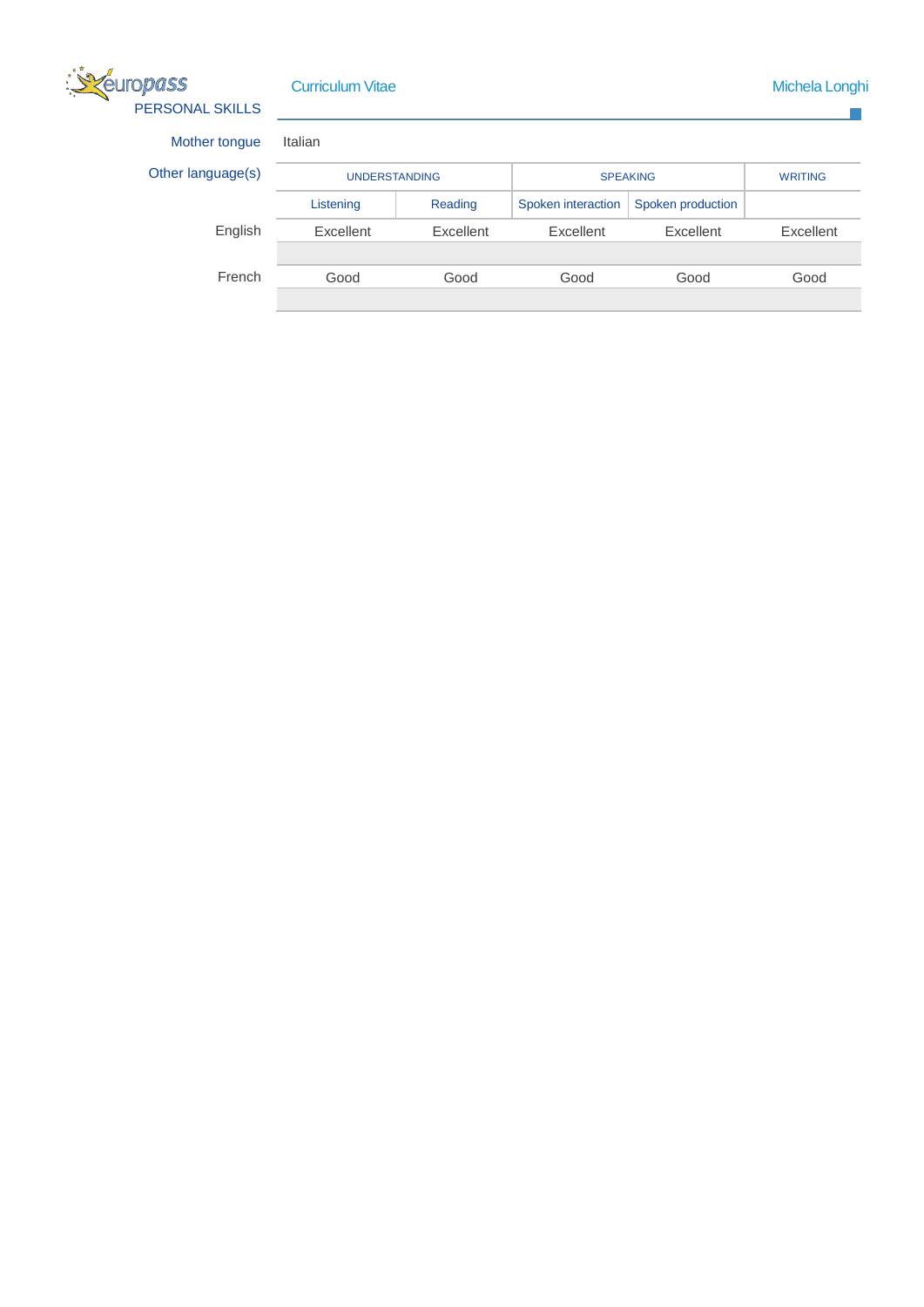

Curriculum Vitae Michela Longhi and America Curriculum Vitae Michela Longhi and America Curriculum Michela Longhi

 $\mathbb{R}^2$ 

Mother tongue

Other language(s)

| tongue  | Italian              |           |                    |                   |                |
|---------|----------------------|-----------|--------------------|-------------------|----------------|
|         | <b>UNDERSTANDING</b> |           | <b>SPEAKING</b>    |                   | <b>WRITING</b> |
|         | Listening            | Reading   | Spoken interaction | Spoken production |                |
| English | Excellent            | Excellent | Excellent          | Excellent         | Excellent      |
|         |                      |           |                    |                   |                |
| French  | Good                 | Good      | Good               | Good              | Good           |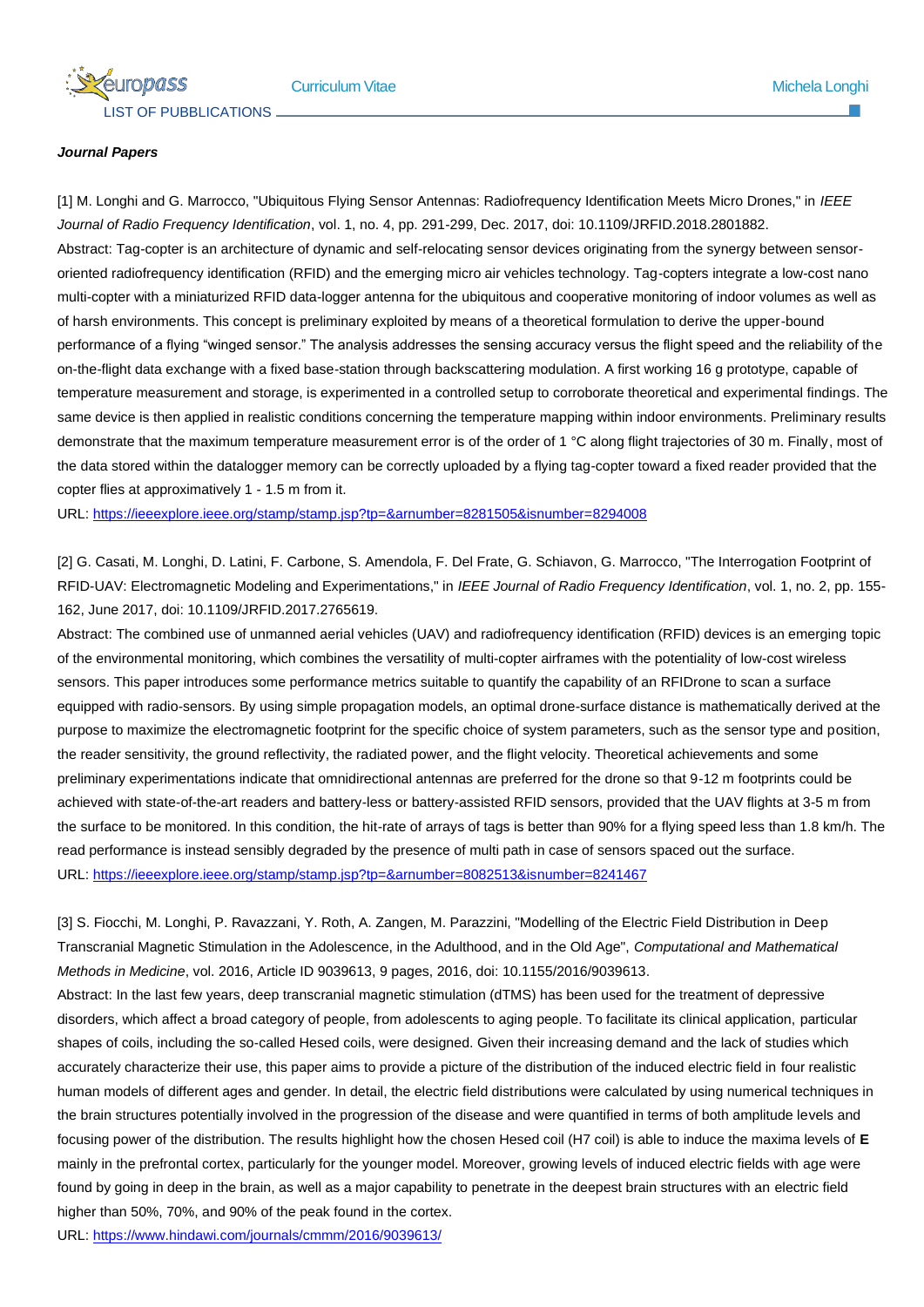### *Journal Papers*

[1] M. Longhi and G. Marrocco, "Ubiquitous Flying Sensor Antennas: Radiofrequency Identification Meets Micro Drones," in *IEEE Journal of Radio Frequency Identification*, vol. 1, no. 4, pp. 291-299, Dec. 2017, doi: 10.1109/JRFID.2018.2801882. Abstract: Tag-copter is an architecture of dynamic and self-relocating sensor devices originating from the synergy between sensororiented radiofrequency identification (RFID) and the emerging micro air vehicles technology. Tag-copters integrate a low-cost nano multi-copter with a miniaturized RFID data-logger antenna for the ubiquitous and cooperative monitoring of indoor volumes as well as of harsh environments. This concept is preliminary exploited by means of a theoretical formulation to derive the upper-bound performance of a flying "winged sensor." The analysis addresses the sensing accuracy versus the flight speed and the reliability of the on-the-flight data exchange with a fixed base-station through backscattering modulation. A first working 16 g prototype, capable of temperature measurement and storage, is experimented in a controlled setup to corroborate theoretical and experimental findings. The same device is then applied in realistic conditions concerning the temperature mapping within indoor environments. Preliminary results demonstrate that the maximum temperature measurement error is of the order of 1 °C along flight trajectories of 30 m. Finally, most of the data stored within the datalogger memory can be correctly uploaded by a flying tag-copter toward a fixed reader provided that the copter flies at approximatively 1 - 1.5 m from it.

URL: <https://ieeexplore.ieee.org/stamp/stamp.jsp?tp=&arnumber=8281505&isnumber=8294008>

[2[\] G. Casati,](https://ieeexplore.ieee.org/author/37085844456) [M. Longhi,](https://ieeexplore.ieee.org/author/37085834258) [D. Latini,](https://ieeexplore.ieee.org/author/38506599300) [F. Carbone,](https://ieeexplore.ieee.org/author/37085500183) [S. Amendola,](https://ieeexplore.ieee.org/author/37085379464) [F. Del Frate,](https://ieeexplore.ieee.org/author/37269662900) [G. Schiavon,](https://ieeexplore.ieee.org/author/37269664200) [G. Marrocco,](https://ieeexplore.ieee.org/author/37279463000) "The Interrogation Footprint of RFID-UAV: Electromagnetic Modeling and Experimentations," in *IEEE Journal of Radio Frequency Identification*, vol. 1, no. 2, pp. 155- 162, June 2017, doi: 10.1109/JRFID.2017.2765619.

Abstract: The combined use of unmanned aerial vehicles (UAV) and radiofrequency identification (RFID) devices is an emerging topic of the environmental monitoring, which combines the versatility of multi-copter airframes with the potentiality of low-cost wireless sensors. This paper introduces some performance metrics suitable to quantify the capability of an RFIDrone to scan a surface equipped with radio-sensors. By using simple propagation models, an optimal drone-surface distance is mathematically derived at the purpose to maximize the electromagnetic footprint for the specific choice of system parameters, such as the sensor type and position, the reader sensitivity, the ground reflectivity, the radiated power, and the flight velocity. Theoretical achievements and some preliminary experimentations indicate that omnidirectional antennas are preferred for the drone so that 9-12 m footprints could be achieved with state-of-the-art readers and battery-less or battery-assisted RFID sensors, provided that the UAV flights at 3-5 m from the surface to be monitored. In this condition, the hit-rate of arrays of tags is better than 90% for a flying speed less than 1.8 km/h. The read performance is instead sensibly degraded by the presence of multi path in case of sensors spaced out the surface. URL: <https://ieeexplore.ieee.org/stamp/stamp.jsp?tp=&arnumber=8082513&isnumber=8241467>

[3] S. Fiocchi, M. Longhi, P. Ravazzani, Y. Roth, A. Zangen, M. Parazzini, "Modelling of the Electric Field Distribution in Deep Transcranial Magnetic Stimulation in the Adolescence, in the Adulthood, and in the Old Age", *Computational and Mathematical Methods in Medicine*, vol. 2016, Article ID 9039613, 9 pages, 2016, [doi: 10.1155/2016/9039613.](https://doi.org/10.1155/2016/9039613)

Abstract: In the last few years, deep transcranial magnetic stimulation (dTMS) has been used for the treatment of depressive disorders, which affect a broad category of people, from adolescents to aging people. To facilitate its clinical application, particular shapes of coils, including the so-called Hesed coils, were designed. Given their increasing demand and the lack of studies which accurately characterize their use, this paper aims to provide a picture of the distribution of the induced electric field in four realistic human models of different ages and gender. In detail, the electric field distributions were calculated by using numerical techniques in the brain structures potentially involved in the progression of the disease and were quantified in terms of both amplitude levels and focusing power of the distribution. The results highlight how the chosen Hesed coil (H7 coil) is able to induce the maxima levels of **E** mainly in the prefrontal cortex, particularly for the younger model. Moreover, growing levels of induced electric fields with age were found by going in deep in the brain, as well as a major capability to penetrate in the deepest brain structures with an electric field higher than 50%, 70%, and 90% of the peak found in the cortex.

URL:<https://www.hindawi.com/journals/cmmm/2016/9039613/>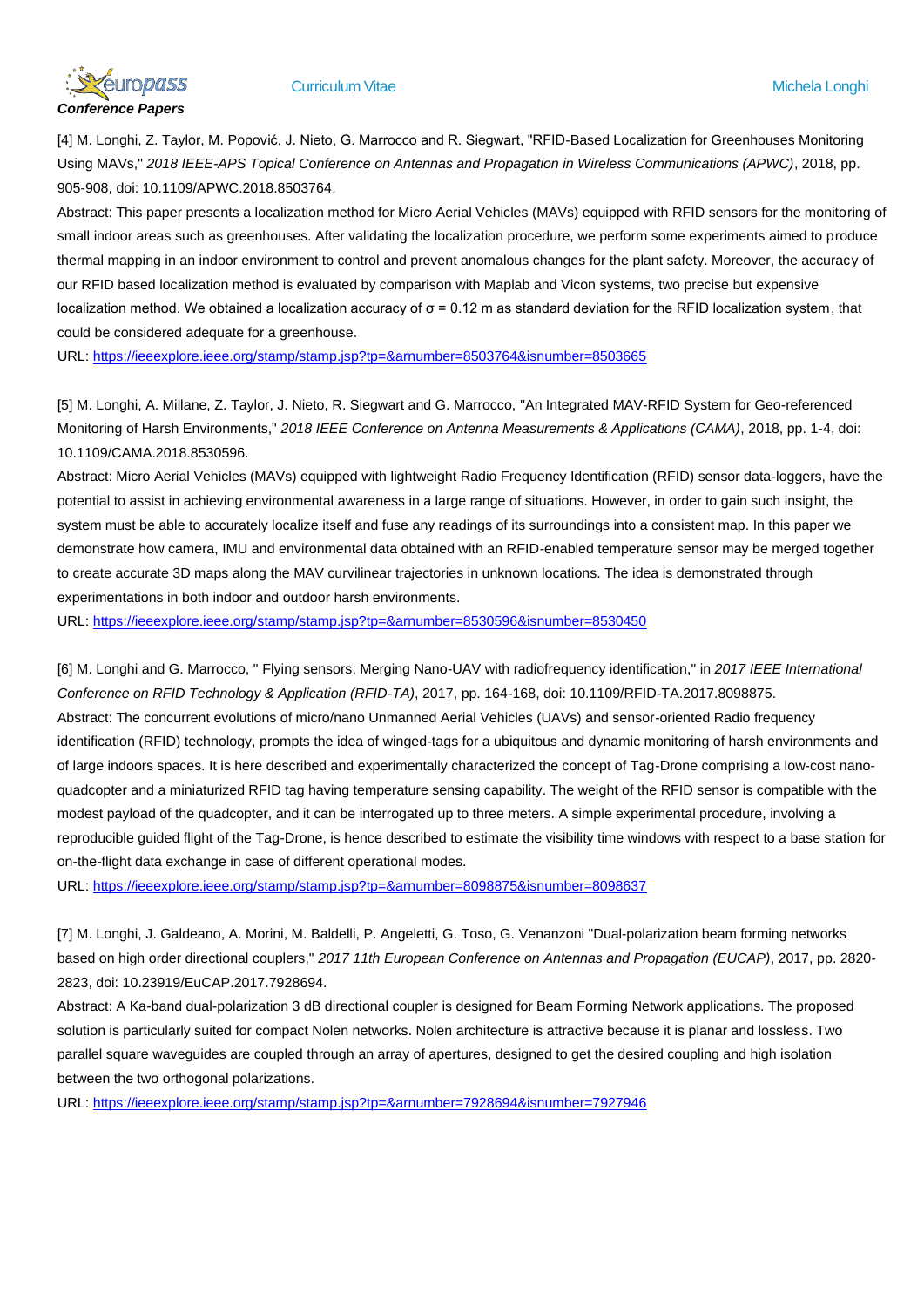

[4] M. Longhi, Z. Taylor, M. Popović, J. Nieto, G. Marrocco and R. Siegwart, "RFID-Based Localization for Greenhouses Monitoring Using MAVs," *2018 IEEE-APS Topical Conference on Antennas and Propagation in Wireless Communications (APWC)*, 2018, pp. 905-908, doi: 10.1109/APWC.2018.8503764.

Abstract: This paper presents a localization method for Micro Aerial Vehicles (MAVs) equipped with RFID sensors for the monitoring of small indoor areas such as greenhouses. After validating the localization procedure, we perform some experiments aimed to produce thermal mapping in an indoor environment to control and prevent anomalous changes for the plant safety. Moreover, the accuracy of our RFID based localization method is evaluated by comparison with Maplab and Vicon systems, two precise but expensive localization method. We obtained a localization accuracy of σ = 0.12 m as standard deviation for the RFID localization system, that could be considered adequate for a greenhouse.

URL: <https://ieeexplore.ieee.org/stamp/stamp.jsp?tp=&arnumber=8503764&isnumber=8503665>

[5] M. Longhi, A. Millane, Z. Taylor, J. Nieto, R. Siegwart and G. Marrocco, "An Integrated MAV-RFID System for Geo-referenced Monitoring of Harsh Environments," *2018 IEEE Conference on Antenna Measurements & Applications (CAMA)*, 2018, pp. 1-4, doi: 10.1109/CAMA.2018.8530596.

Abstract: Micro Aerial Vehicles (MAVs) equipped with lightweight Radio Frequency Identification (RFID) sensor data-loggers, have the potential to assist in achieving environmental awareness in a large range of situations. However, in order to gain such insight, the system must be able to accurately localize itself and fuse any readings of its surroundings into a consistent map. In this paper we demonstrate how camera, IMU and environmental data obtained with an RFID-enabled temperature sensor may be merged together to create accurate 3D maps along the MAV curvilinear trajectories in unknown locations. The idea is demonstrated through experimentations in both indoor and outdoor harsh environments.

URL: <https://ieeexplore.ieee.org/stamp/stamp.jsp?tp=&arnumber=8530596&isnumber=8530450>

[6] M. Longhi and G. Marrocco, " [Flying sensors: Merging Nano-UAV with radiofrequency identification,](https://ieeexplore.ieee.org/abstract/document/8098875/)" in *2017 IEEE International Conference on RFID Technology & Application (RFID-TA)*, 2017, pp. 164-168, doi: 10.1109/RFID-TA.2017.8098875. Abstract: The concurrent evolutions of micro/nano Unmanned Aerial Vehicles (UAVs) and sensor-oriented Radio frequency identification (RFID) technology, prompts the idea of winged-tags for a ubiquitous and dynamic monitoring of harsh environments and of large indoors spaces. It is here described and experimentally characterized the concept of Tag-Drone comprising a low-cost nanoquadcopter and a miniaturized RFID tag having temperature sensing capability. The weight of the RFID sensor is compatible with the modest payload of the quadcopter, and it can be interrogated up to three meters. A simple experimental procedure, involving a reproducible guided flight of the Tag-Drone, is hence described to estimate the visibility time windows with respect to a base station for on-the-flight data exchange in case of different operational modes.

URL:<https://ieeexplore.ieee.org/stamp/stamp.jsp?tp=&arnumber=8098875&isnumber=8098637>

[7] M. Longhi, J. Galdeano, A. Morini, M. Baldelli, P. Angeletti, G. Toso, G. Venanzoni "Dual-polarization beam forming networks based on high order directional couplers," *2017 11th European Conference on Antennas and Propagation (EUCAP)*, 2017, pp. 2820- 2823, doi: 10.23919/EuCAP.2017.7928694.

Abstract: A Ka-band dual-polarization 3 dB directional coupler is designed for Beam Forming Network applications. The proposed solution is particularly suited for compact Nolen networks. Nolen architecture is attractive because it is planar and lossless. Two parallel square waveguides are coupled through an array of apertures, designed to get the desired coupling and high isolation between the two orthogonal polarizations.

URL:<https://ieeexplore.ieee.org/stamp/stamp.jsp?tp=&arnumber=7928694&isnumber=7927946>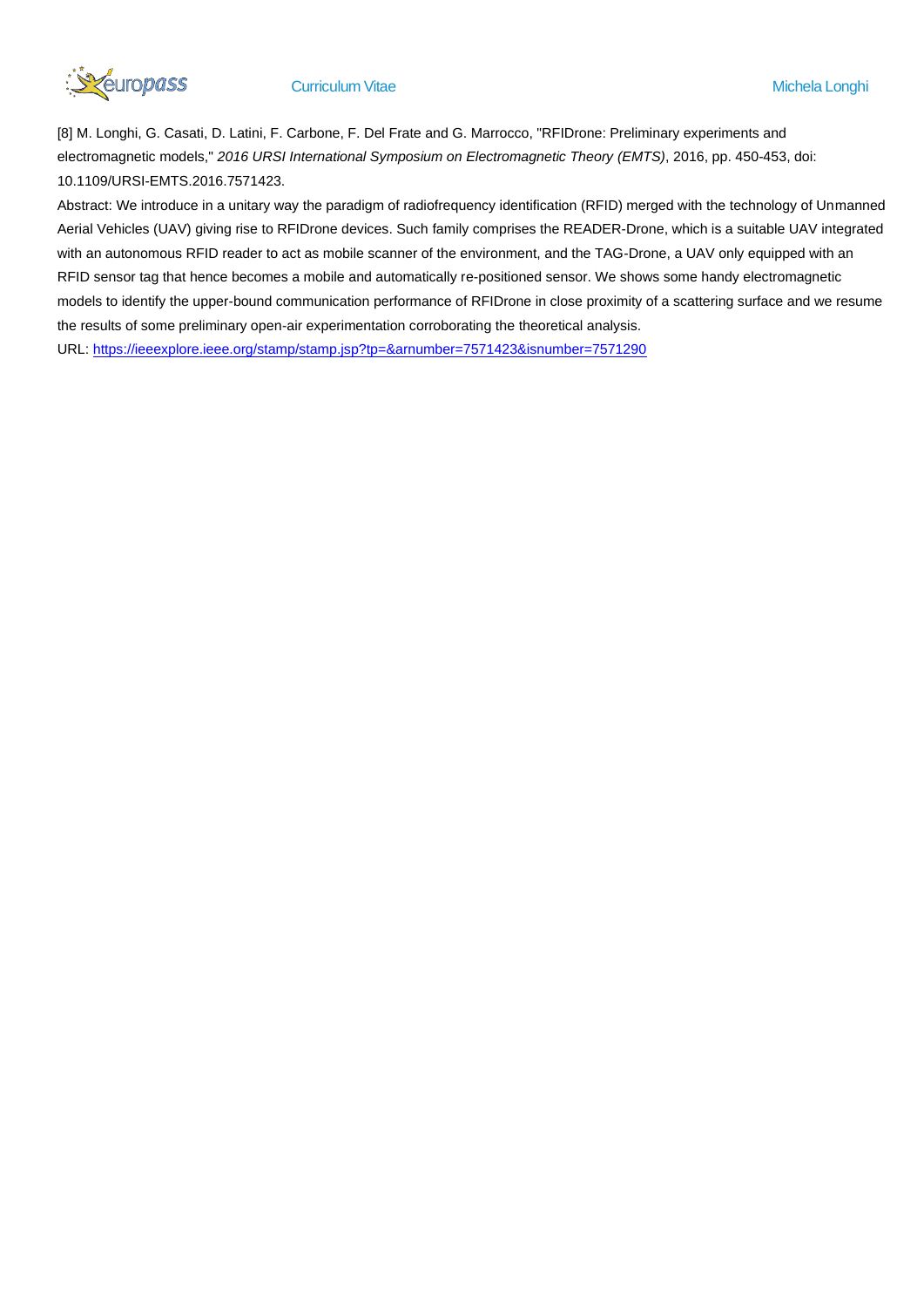

[8] M. Longhi, G. Casati, D. Latini, F. Carbone, F. Del Frate and G. Marrocco, "RFIDrone: Preliminary experiments and electromagnetic models," *2016 URSI International Symposium on Electromagnetic Theory (EMTS)*, 2016, pp. 450-453, doi: 10.1109/URSI-EMTS.2016.7571423.

Abstract: We introduce in a unitary way the paradigm of radiofrequency identification (RFID) merged with the technology of Unmanned Aerial Vehicles (UAV) giving rise to RFIDrone devices. Such family comprises the READER-Drone, which is a suitable UAV integrated with an autonomous RFID reader to act as mobile scanner of the environment, and the TAG-Drone, a UAV only equipped with an RFID sensor tag that hence becomes a mobile and automatically re-positioned sensor. We shows some handy electromagnetic models to identify the upper-bound communication performance of RFIDrone in close proximity of a scattering surface and we resume the results of some preliminary open-air experimentation corroborating the theoretical analysis.

URL: <https://ieeexplore.ieee.org/stamp/stamp.jsp?tp=&arnumber=7571423&isnumber=7571290>